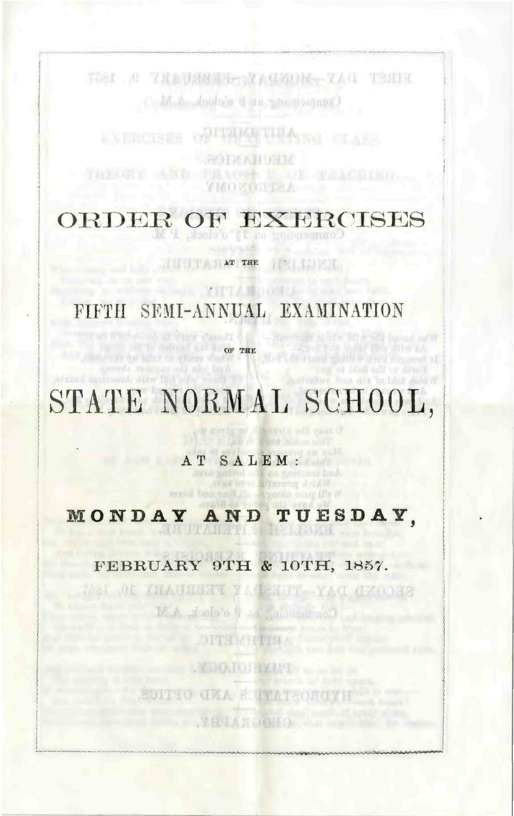TOST N TNEUMMER YAUKOM TAU TSHI M.A. Anoloje S de philosophy

> **PLINICE THIACCO** NIMARION

ORDER OF EXERCISES

**YMOV** 

**HITTAGIATITEE** HEILIDEE

### FIFTH SEMI-ANNUAL EXAMINATION

with all view s'amall of **OF THE REAL PROPERTY OF THE** and of wheer shafte a

YHTANOOTIA

STATE NORMAL SCHOOL,

AT SALEM : ava godyol ada no goritan<br>A personal of a no save,

mused bees yard the success :

MONDAY AND TUESDAY,

FEBRUARY 9TH & 10TH, 1857.

ME OF THAUSEN YATERUP YAT CYCONE M.A. Joslo's Was gonesarmal DITSIMPINA **STAIRED BEATING SUITIO CHA SUPATEORO TRANGES**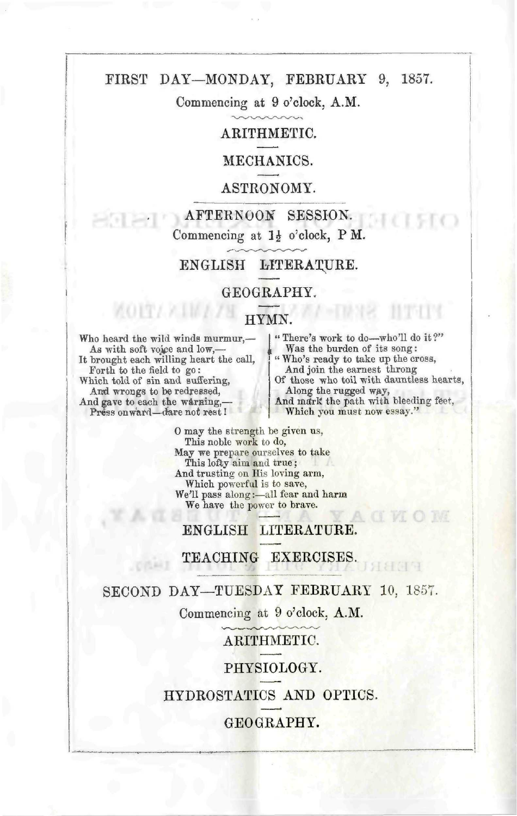#### FIRST DAY—MONDAY, FEBRUARY 9, 1857.

Commencing at 9 o'clock, A.M.

#### ARITHMETIC.

#### MECHANICS.

#### ASTRONOMY.

AFTERNOON SESSION. Commencing at  $1\frac{1}{2}$  o'clock, P M.

#### ENGLISH LITERATURE.

#### GEOGRAPHY.

#### HYMN.

Who heard the wild winds murmur,— As with soft vojce and low,— It brought each willing heart the call, Forth to the field to go: Which told of sin and suffering, And wrongs to be redressed, And gave to each the warning, Press on ward-dare not rest!

 $\wedge$   $0$   $1$   $\wedge$   $\wedge$   $1$   $\wedge$   $\wedge$ 

" There's work to do—who'll do it ?" Was the burden of its song: " Who's ready to take up the cross, And join the earnest throng Of those who toil with dauntless hearts, Along the rugged way,<br>And mark the path with bleeding feet, Which you must now essay."

0 may the strength be given us, This noble work to do, May we prepare ourselves to take This lofty aim and true; And trusting on His loving arm, Which powerful is to save, We'll pass along:—all fear and harm We have the power to brave.

ENGLISH LITERATURE.

#### TEACHING EXERCISES.

#### SECOND DAY—TUESDAY FEBRUARY 10, 1857.

Commencing at 9 o'clock, A.M.

ARITHMETIC.

#### PHYSIOLOGY.

HYDROSTATICS AND OPTICS.

#### GEOGRAPHY.